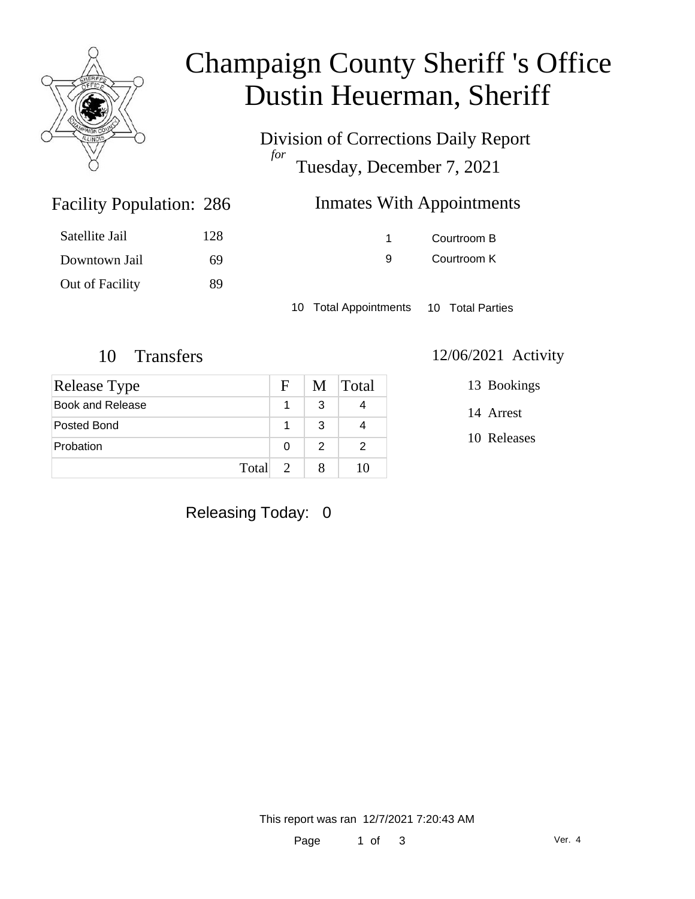

## Champaign County Sheriff 's Office Dustin Heuerman, Sheriff

Division of Corrections Daily Report *for* Tuesday, December 7, 2021

| <b>Inmates With Appointments</b><br>286 |  |
|-----------------------------------------|--|
|-----------------------------------------|--|

|   | Courtroom B |
|---|-------------|
| g | Courtroom K |

10 Total Appointments 10 Total Parties

Facility Population: 286

Satellite Jail 128

Downtown Jail 69

Out of Facility 89

| <b>Release Type</b> | $\mathbf{F}$  |               | M Total |
|---------------------|---------------|---------------|---------|
| Book and Release    |               | 3             |         |
| Posted Bond         |               | 3             |         |
| Probation           | 0             | $\mathcal{P}$ | 2       |
| Total               | $\mathcal{D}$ |               | 10      |

#### 10 Transfers 12/06/2021 Activity

13 Bookings

14 Arrest

10 Releases

#### Releasing Today: 0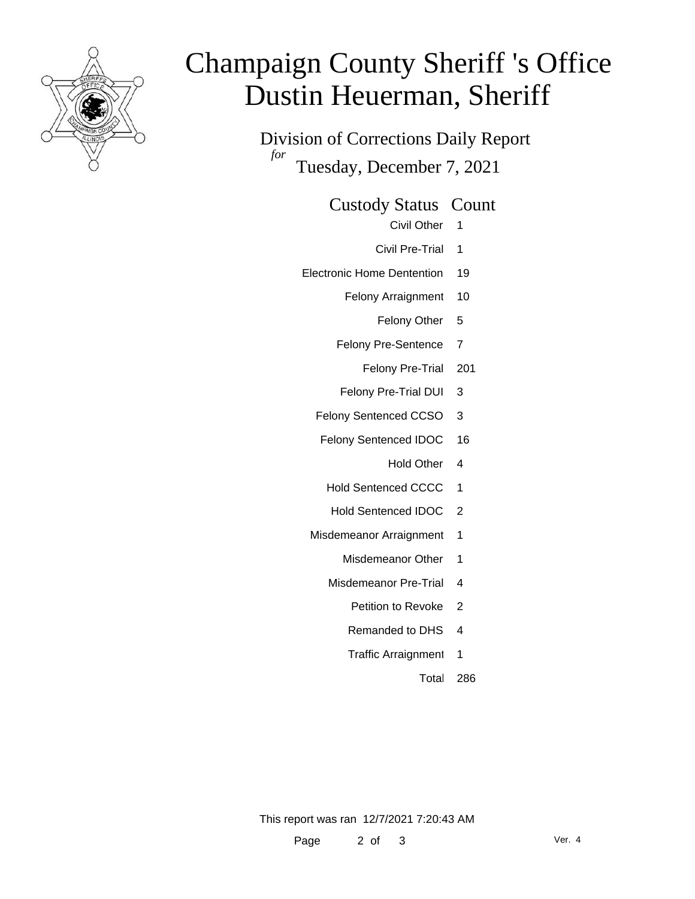

# Champaign County Sheriff 's Office Dustin Heuerman, Sheriff

Division of Corrections Daily Report *for* Tuesday, December 7, 2021

Custody Status Count

- Civil Other 1
- Civil Pre-Trial 1
- Electronic Home Dentention 19
	- Felony Arraignment 10
		- Felony Other 5
	- Felony Pre-Sentence 7
		- Felony Pre-Trial 201
	- Felony Pre-Trial DUI 3
	- Felony Sentenced CCSO 3
	- Felony Sentenced IDOC 16
		- Hold Other 4
		- Hold Sentenced CCCC 1
		- Hold Sentenced IDOC 2
	- Misdemeanor Arraignment 1
		- Misdemeanor Other 1
		- Misdemeanor Pre-Trial 4
			- Petition to Revoke 2
			- Remanded to DHS 4
			- Traffic Arraignment 1
				- Total 286